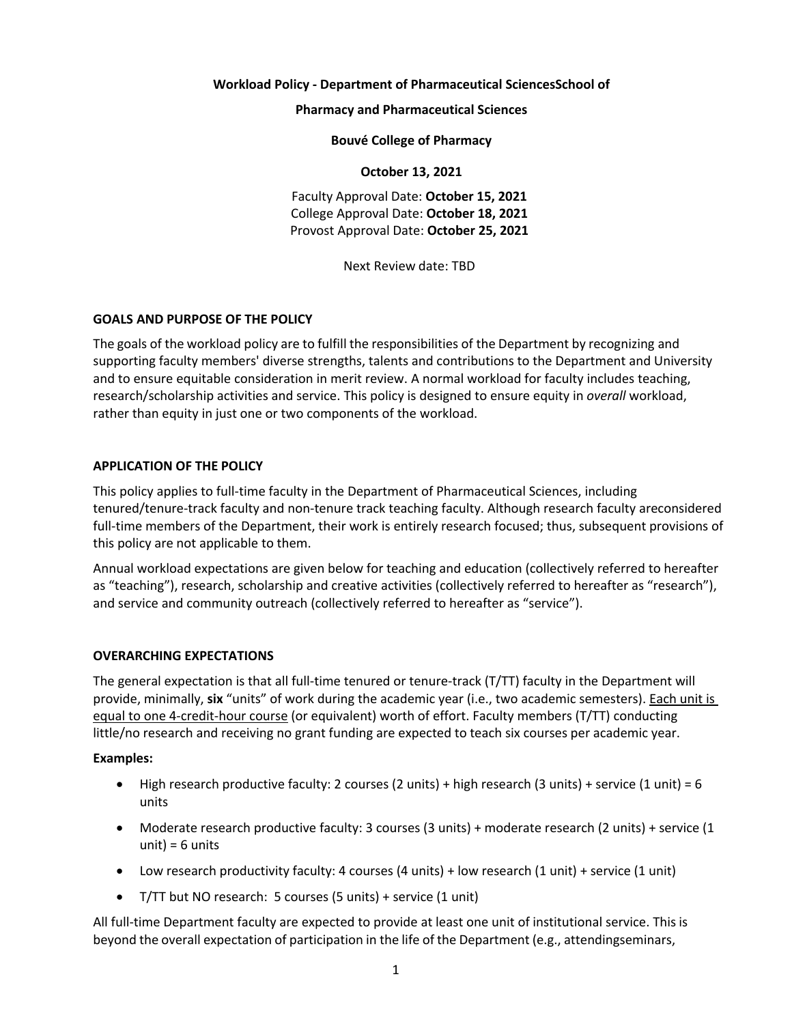#### **Workload Policy - Department of Pharmaceutical SciencesSchool of**

**Pharmacy and Pharmaceutical Sciences**

**Bouvé College of Pharmacy**

#### **October 13, 2021**

Faculty Approval Date: **October 15, 2021** College Approval Date: **October 18, 2021** Provost Approval Date: **October 25, 2021**

Next Review date: TBD

## **GOALS AND PURPOSE OF THE POLICY**

The goals of the workload policy are to fulfill the responsibilities of the Department by recognizing and supporting faculty members' diverse strengths, talents and contributions to the Department and University and to ensure equitable consideration in merit review. A normal workload for faculty includes teaching, research/scholarship activities and service. This policy is designed to ensure equity in *overall* workload, rather than equity in just one or two components of the workload.

## **APPLICATION OF THE POLICY**

This policy applies to full-time faculty in the Department of Pharmaceutical Sciences, including tenured/tenure-track faculty and non-tenure track teaching faculty. Although research faculty areconsidered full-time members of the Department, their work is entirely research focused; thus, subsequent provisions of this policy are not applicable to them.

Annual workload expectations are given below for teaching and education (collectively referred to hereafter as "teaching"), research, scholarship and creative activities (collectively referred to hereafter as "research"), and service and community outreach (collectively referred to hereafter as "service").

## **OVERARCHING EXPECTATIONS**

The general expectation is that all full-time tenured or tenure-track (T/TT) faculty in the Department will provide, minimally, **six** "units" of work during the academic year (i.e., two academic semesters). Each unit is equal to one 4-credit-hour course (or equivalent) worth of effort. Faculty members (T/TT) conducting little/no research and receiving no grant funding are expected to teach six courses per academic year.

## **Examples:**

- High research productive faculty: 2 courses (2 units) + high research (3 units) + service (1 unit) = 6 units
- Moderate research productive faculty: 3 courses (3 units) + moderate research (2 units) + service (1  $unit) = 6 units$
- Low research productivity faculty: 4 courses (4 units) + low research (1 unit) + service (1 unit)
- T/TT but NO research: 5 courses (5 units) + service (1 unit)

All full-time Department faculty are expected to provide at least one unit of institutional service. This is beyond the overall expectation of participation in the life of the Department (e.g., attendingseminars,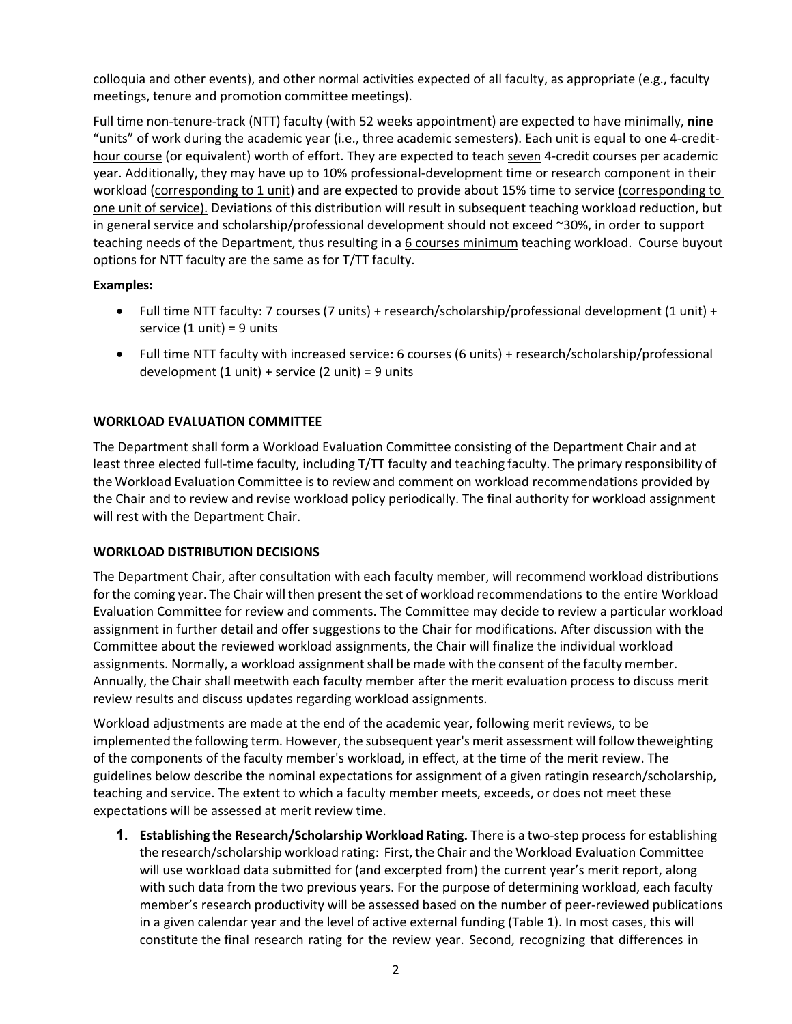colloquia and other events), and other normal activities expected of all faculty, as appropriate (e.g., faculty meetings, tenure and promotion committee meetings).

Full time non-tenure-track (NTT) faculty (with 52 weeks appointment) are expected to have minimally, **nine** "units" of work during the academic year (i.e., three academic semesters). Each unit is equal to one 4-credithour course (or equivalent) worth of effort. They are expected to teach seven 4-credit courses per academic year. Additionally, they may have up to 10% professional-development time or research component in their workload (corresponding to 1 unit) and are expected to provide about 15% time to service (corresponding to one unit of service). Deviations of this distribution will result in subsequent teaching workload reduction, but in general service and scholarship/professional development should not exceed ~30%, in order to support teaching needs of the Department, thus resulting in a 6 courses minimum teaching workload. Course buyout options for NTT faculty are the same as for T/TT faculty.

# **Examples:**

- Full time NTT faculty: 7 courses (7 units) + research/scholarship/professional development (1 unit) + service (1 unit) = 9 units
- Full time NTT faculty with increased service: 6 courses (6 units) + research/scholarship/professional development  $(1 \text{ unit}) +$  service  $(2 \text{ unit}) = 9 \text{ units}$

# **WORKLOAD EVALUATION COMMITTEE**

The Department shall form a Workload Evaluation Committee consisting of the Department Chair and at least three elected full-time faculty, including T/TT faculty and teaching faculty. The primary responsibility of the Workload Evaluation Committee isto review and comment on workload recommendations provided by the Chair and to review and revise workload policy periodically. The final authority for workload assignment will rest with the Department Chair.

## **WORKLOAD DISTRIBUTION DECISIONS**

The Department Chair, after consultation with each faculty member, will recommend workload distributions for the coming year. The Chair will then present the set of workload recommendations to the entire Workload Evaluation Committee for review and comments. The Committee may decide to review a particular workload assignment in further detail and offer suggestions to the Chair for modifications. After discussion with the Committee about the reviewed workload assignments, the Chair will finalize the individual workload assignments. Normally, a workload assignment shall be made with the consent of the faculty member. Annually, the Chair shall meetwith each faculty member after the merit evaluation process to discuss merit review results and discuss updates regarding workload assignments.

Workload adjustments are made at the end of the academic year, following merit reviews, to be implemented the following term. However, the subsequent year's merit assessment will follow theweighting of the components of the faculty member's workload, in effect, at the time of the merit review. The guidelines below describe the nominal expectations for assignment of a given ratingin research/scholarship, teaching and service. The extent to which a faculty member meets, exceeds, or does not meet these expectations will be assessed at merit review time.

**1. Establishing the Research/Scholarship Workload Rating.** There is a two-step process for establishing the research/scholarship workload rating: First, the Chair and the Workload Evaluation Committee will use workload data submitted for (and excerpted from) the current year's merit report, along with such data from the two previous years. For the purpose of determining workload, each faculty member's research productivity will be assessed based on the number of peer-reviewed publications in a given calendar year and the level of active external funding (Table 1). In most cases, this will constitute the final research rating for the review year. Second, recognizing that differences in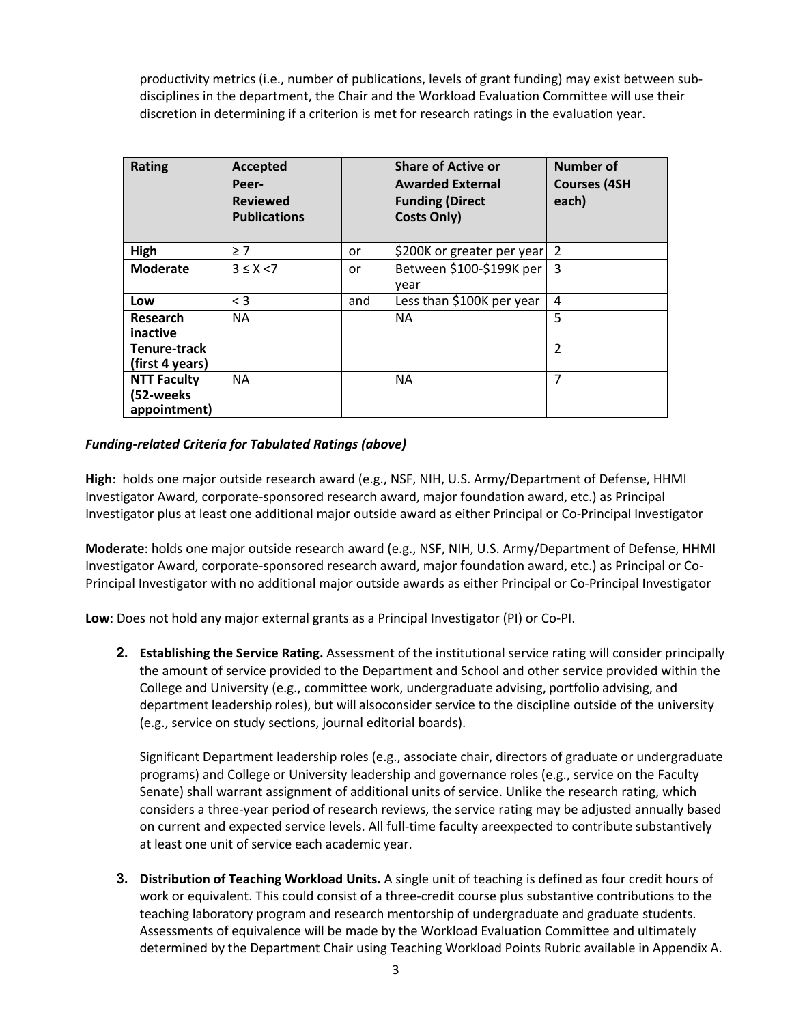productivity metrics (i.e., number of publications, levels of grant funding) may exist between subdisciplines in the department, the Chair and the Workload Evaluation Committee will use their discretion in determining if a criterion is met for research ratings in the evaluation year.

| <b>Rating</b>                                   | Accepted<br>Peer-<br><b>Reviewed</b><br><b>Publications</b> |     | <b>Share of Active or</b><br><b>Awarded External</b><br><b>Funding (Direct</b><br><b>Costs Only)</b> | Number of<br><b>Courses (4SH</b><br>each) |
|-------------------------------------------------|-------------------------------------------------------------|-----|------------------------------------------------------------------------------------------------------|-------------------------------------------|
| High                                            | > 7                                                         | or  | \$200K or greater per year                                                                           | $\mathcal{P}$                             |
| <b>Moderate</b>                                 | $3 \leq X \leq 7$                                           | or  | Between \$100-\$199K per<br>year                                                                     | 3                                         |
| Low                                             | $\leq$ 3                                                    | and | Less than \$100K per year                                                                            | 4                                         |
| Research<br>inactive                            | <b>NA</b>                                                   |     | <b>NA</b>                                                                                            | 5                                         |
| Tenure-track<br>(first 4 years)                 |                                                             |     |                                                                                                      | $\mathfrak{p}$                            |
| <b>NTT Faculty</b><br>(52-weeks<br>appointment) | <b>NA</b>                                                   |     | <b>NA</b>                                                                                            | 7                                         |

# *Funding-related Criteria for Tabulated Ratings (above)*

**High**: holds one major outside research award (e.g., NSF, NIH, U.S. Army/Department of Defense, HHMI Investigator Award, corporate-sponsored research award, major foundation award, etc.) as Principal Investigator plus at least one additional major outside award as either Principal or Co-Principal Investigator

**Moderate**: holds one major outside research award (e.g., NSF, NIH, U.S. Army/Department of Defense, HHMI Investigator Award, corporate-sponsored research award, major foundation award, etc.) as Principal or Co-Principal Investigator with no additional major outside awards as either Principal or Co-Principal Investigator

**Low**: Does not hold any major external grants as a Principal Investigator (PI) or Co-PI.

**2. Establishing the Service Rating.** Assessment of the institutional service rating will consider principally the amount of service provided to the Department and School and other service provided within the College and University (e.g., committee work, undergraduate advising, portfolio advising, and department leadership roles), but will alsoconsider service to the discipline outside of the university (e.g., service on study sections, journal editorial boards).

Significant Department leadership roles (e.g., associate chair, directors of graduate or undergraduate programs) and College or University leadership and governance roles (e.g., service on the Faculty Senate) shall warrant assignment of additional units of service. Unlike the research rating, which considers a three-year period of research reviews, the service rating may be adjusted annually based on current and expected service levels. All full-time faculty areexpected to contribute substantively at least one unit of service each academic year.

**3. Distribution of Teaching Workload Units.** A single unit of teaching is defined as four credit hours of work or equivalent. This could consist of a three-credit course plus substantive contributions to the teaching laboratory program and research mentorship of undergraduate and graduate students. Assessments of equivalence will be made by the Workload Evaluation Committee and ultimately determined by the Department Chair using Teaching Workload Points Rubric available in Appendix A.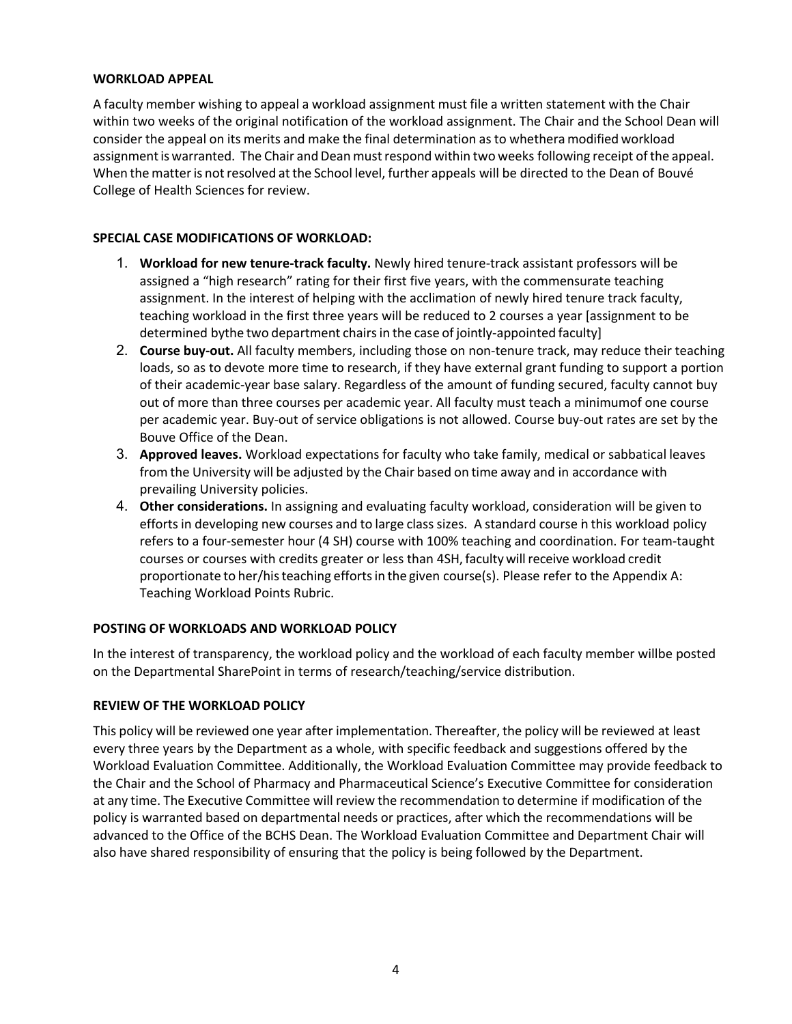## **WORKLOAD APPEAL**

A faculty member wishing to appeal a workload assignment must file a written statement with the Chair within two weeks of the original notification of the workload assignment. The Chair and the School Dean will consider the appeal on its merits and make the final determination as to whethera modified workload assignment is warranted. The Chair and Dean must respond within two weeks following receipt of the appeal. When the matter is not resolved at the School level, further appeals will be directed to the Dean of Bouvé College of Health Sciences for review.

## **SPECIAL CASE MODIFICATIONS OF WORKLOAD:**

- 1. **Workload for new tenure-track faculty.** Newly hired tenure-track assistant professors will be assigned a "high research" rating for their first five years, with the commensurate teaching assignment. In the interest of helping with the acclimation of newly hired tenure track faculty, teaching workload in the first three years will be reduced to 2 courses a year [assignment to be determined bythe two department chairs in the case of jointly-appointed faculty]
- 2. **Course buy-out.** All faculty members, including those on non-tenure track, may reduce their teaching loads, so as to devote more time to research, if they have external grant funding to support a portion of their academic-year base salary. Regardless of the amount of funding secured, faculty cannot buy out of more than three courses per academic year. All faculty must teach a minimumof one course per academic year. Buy-out of service obligations is not allowed. Course buy-out rates are set by the Bouve Office of the Dean.
- 3. **Approved leaves.** Workload expectations for faculty who take family, medical or sabbatical leaves from the University will be adjusted by the Chair based on time away and in accordance with prevailing University policies.
- 4. **Other considerations.** In assigning and evaluating faculty workload, consideration will be given to efforts in developing new courses and to large class sizes. A standard course in this workload policy refers to a four-semester hour (4 SH) course with 100% teaching and coordination. For team-taught courses or courses with credits greater or less than 4SH,faculty willreceive workload credit proportionate to her/his teaching efforts in the given course(s). Please refer to the Appendix A: Teaching Workload Points Rubric.

# **POSTING OF WORKLOADS AND WORKLOAD POLICY**

In the interest of transparency, the workload policy and the workload of each faculty member willbe posted on the Departmental SharePoint in terms of research/teaching/service distribution.

## **REVIEW OF THE WORKLOAD POLICY**

This policy will be reviewed one year after implementation. Thereafter, the policy will be reviewed at least every three years by the Department as a whole, with specific feedback and suggestions offered by the Workload Evaluation Committee. Additionally, the Workload Evaluation Committee may provide feedback to the Chair and the School of Pharmacy and Pharmaceutical Science's Executive Committee for consideration at any time. The Executive Committee will review the recommendation to determine if modification of the policy is warranted based on departmental needs or practices, after which the recommendations will be advanced to the Office of the BCHS Dean. The Workload Evaluation Committee and Department Chair will also have shared responsibility of ensuring that the policy is being followed by the Department.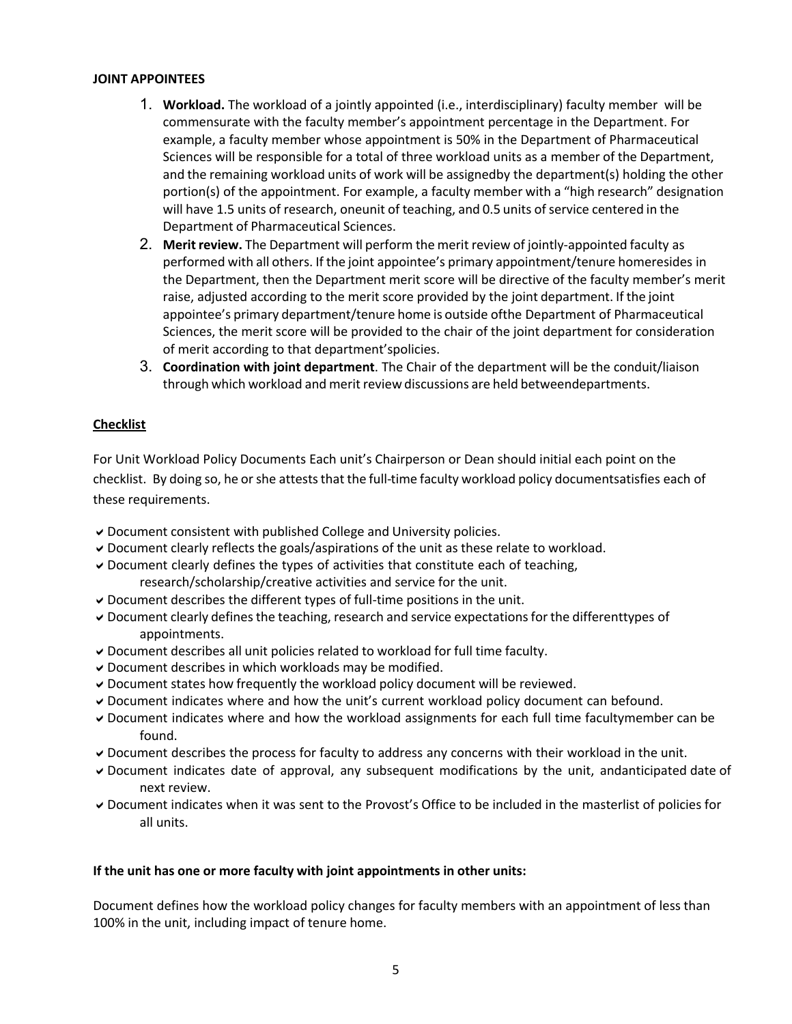#### **JOINT APPOINTEES**

- 1. **Workload.** The workload of a jointly appointed (i.e., interdisciplinary) faculty member will be commensurate with the faculty member's appointment percentage in the Department. For example, a faculty member whose appointment is 50% in the Department of Pharmaceutical Sciences will be responsible for a total of three workload units as a member of the Department, and the remaining workload units of work will be assignedby the department(s) holding the other portion(s) of the appointment. For example, a faculty member with a "high research" designation will have 1.5 units of research, oneunit of teaching, and 0.5 units of service centered in the Department of Pharmaceutical Sciences.
- 2. **Merit review.** The Department will perform the merit review of jointly-appointed faculty as performed with all others. If the joint appointee's primary appointment/tenure homeresides in the Department, then the Department merit score will be directive of the faculty member's merit raise, adjusted according to the merit score provided by the joint department. If the joint appointee's primary department/tenure home is outside ofthe Department of Pharmaceutical Sciences, the merit score will be provided to the chair of the joint department for consideration of merit according to that department'spolicies.
- 3. **Coordination with joint department**. The Chair of the department will be the conduit/liaison through which workload and merit review discussions are held betweendepartments.

## **Checklist**

For Unit Workload Policy Documents Each unit's Chairperson or Dean should initial each point on the checklist. By doing so, he or she attests that the full-time faculty workload policy documentsatisfies each of these requirements.

- $\vee$  Document consistent with published College and University policies.
- $\triangledown$  Document clearly reflects the goals/aspirations of the unit as these relate to workload.
- $\vee$  Document clearly defines the types of activities that constitute each of teaching, research/scholarship/creative activities and service for the unit.
- $\vee$  Document describes the different types of full-time positions in the unit.
- $\triangledown$  Document clearly defines the teaching, research and service expectations for the differenttypes of appointments.
- $\triangledown$  Document describes all unit policies related to workload for full time faculty.
- $\vee$  Document describes in which workloads may be modified.
- $\vee$  Document states how frequently the workload policy document will be reviewed.
- Document indicates where and how the unit's current workload policy document can befound.
- Document indicates where and how the workload assignments for each full time facultymember can be found.
- Document describes the process for faculty to address any concerns with their workload in the unit.
- $\triangledown$  Document indicates date of approval, any subsequent modifications by the unit, andanticipated date of next review.
- Document indicates when it was sent to the Provost's Office to be included in the masterlist of policies for all units.

#### **If the unit has one or more faculty with joint appointments in other units:**

Document defines how the workload policy changes for faculty members with an appointment of less than 100% in the unit, including impact of tenure home.